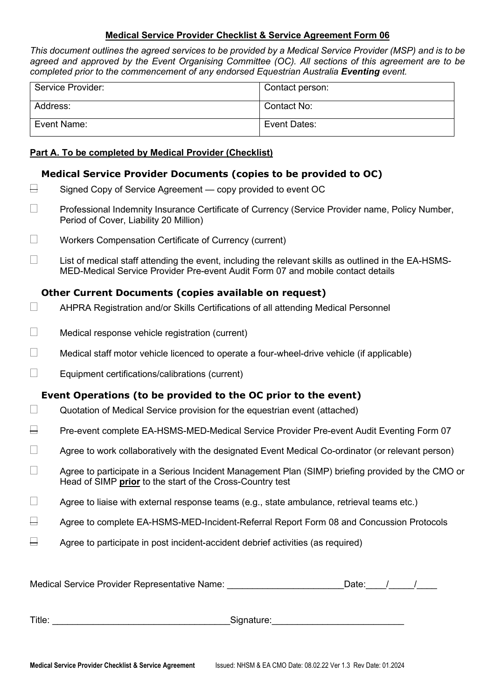## **Medical Service Provider Checklist & Service Agreement Form 06**

*This document outlines the agreed services to be provided by a Medical Service Provider (MSP) and is to be agreed and approved by the Event Organising Committee (OC). All sections of this agreement are to be completed prior to the commencement of any endorsed Equestrian Australia Eventing event.* 

| Service Provider: | Contact person: |
|-------------------|-----------------|
| Address:          | Contact No:     |
| Event Name:       | Event Dates:    |

## **Part A. To be completed by Medical Provider (Checklist)**

# **Medical Service Provider Documents (copies to be provided to OC)**

- $\overline{\Box}$  Signed Copy of Service Agreement copy provided to event OC
- □ Professional Indemnity Insurance Certificate of Currency (Service Provider name, Policy Number, Period of Cover, Liability 20 Million)
- **Norkers Compensation Certificate of Currency (current)**
- $\Box$  List of medical staff attending the event, including the relevant skills as outlined in the EA-HSMS-MED-Medical Service Provider Pre-event Audit Form 07 and mobile contact details

# **Other Current Documents (copies available on request)**

- AHPRA Registration and/or Skills Certifications of all attending Medical Personnel
- $\Box$  Medical response vehicle registration (current)
- $\Box$  Medical staff motor vehicle licenced to operate a four-wheel-drive vehicle (if applicable)
- $\Box$  Equipment certifications/calibrations (current)

# **Event Operations (to be provided to the OC prior to the event)**

- $\Box$  Quotation of Medical Service provision for the equestrian event (attached)
- $\Box$  Pre-event complete EA-HSMS-MED-Medical Service Provider Pre-event Audit Eventing Form 07
- $\Box$  Agree to work collaboratively with the designated Event Medical Co-ordinator (or relevant person)
- $\Box$  Agree to participate in a Serious Incident Management Plan (SIMP) briefing provided by the CMO or Head of SIMP **prior** to the start of the Cross-Country test
- $\Box$  Agree to liaise with external response teams (e.g., state ambulance, retrieval teams etc.)
- $\overline{\boxminus}$  Agree to complete EA-HSMS-MED-Incident-Referral Report Form 08 and Concussion Protocols
- $\Box$  Agree to participate in post incident-accident debrief activities (as required)

Medical Service Provider Representative Name: etc. All and the United Service Provider Representative Name: Al

Title: The contract of the contract of the Signature:  $\Box$  Signature: